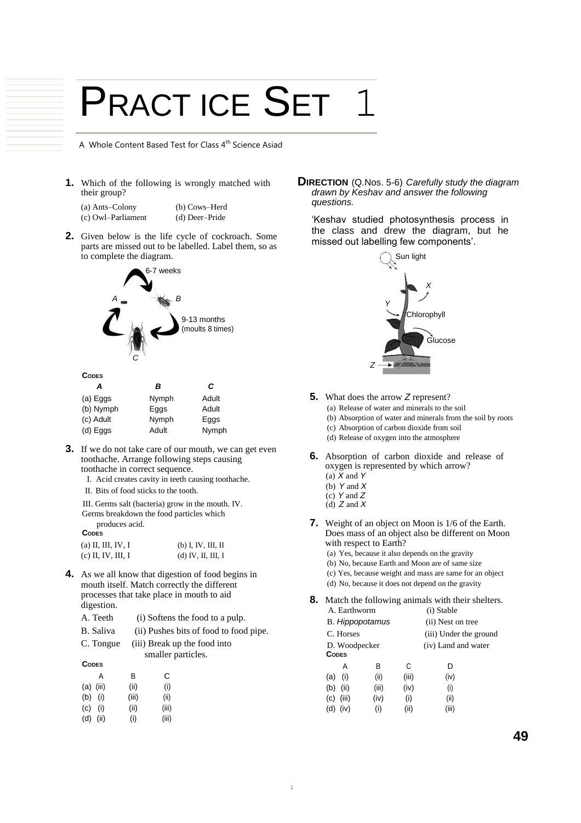## PRACT ICE SET

A Whole Content Based Test for Class 4<sup>th</sup> Science Asiad

**1.** Which of the following is wrongly matched with their group?

| (a) Ants-Colony    | (b) Cows–Herd  |
|--------------------|----------------|
| (c) Owl-Parliament | (d) Deer-Pride |

**2.** Given below is the life cycle of cockroach. Some parts are missed out to be labelled. Label them, so as to complete the diagram.



| А          | в     | С     |
|------------|-------|-------|
| (a) Eggs   | Nymph | Adult |
| (b) Nymph  | Eggs  | Adult |
| (c) Adult  | Nymph | Eggs  |
| $(d)$ Eggs | Adult | Nymph |

- **3.** If we do not take care of our mouth, we can get even toothache. Arrange following steps causing toothache in correct sequence.
	- I. Acid creates cavity in teeth causing toothache.
	- II. Bits of food sticks to the tooth.

III. Germs salt (bacteria) grow in the mouth. IV. Germs breakdown the food particles which produces acid.

**CODES**

| (a) II, III, IV, I | $(b)$ I, IV, III, II |
|--------------------|----------------------|
| (c) II, IV, III, I | $(d)$ IV, II, III, I |

- **4.** As we all know that digestion of food begins in mouth itself. Match correctly the different processes that take place in mouth to aid digestion.
	- A. Teeth (i) Softens the food to a pulp. B. Saliva (ii) Pushes bits of food to food pipe. C. Tongue (iii) Break up the food into smaller particles. **CODES** A B C

|     |           | ◡     | ີ     |
|-----|-----------|-------|-------|
|     | (a) (iii) | (ii)  | (i)   |
| (b) | (i)       | (iii) | (ii)  |
| (c) | (i)       | (ii)  | (iii) |
| (d) | (ii)      | (i)   | (iii) |
|     |           |       |       |

**DIRECTION** (Q.Nos. 5-6) *Carefully study the diagram drawn by Keshav and answer the following questions.*

'Keshav studied photosynthesis process in the class and drew the diagram, but he missed out labelling few components'.



- **5.** What does the arrow *Z* represent?
	- (a) Release of water and minerals to the soil
	- (b) Absorption of water and minerals from the soil by roots
	- (c) Absorption of carbon dioxide from soil
	- (d) Release of oxygen into the atmosphere
- **6.** Absorption of carbon dioxide and release of oxygen is represented by which arrow? (a) *X* and *Y* 
	- (b) *Y* and *X*
	- (c) *Y* and *Z*
	- (d) *Z* and *X*
- **7.** Weight of an object on Moon is 1/6 of the Earth. Does mass of an object also be different on Moon with respect to Earth?
	- (a) Yes, because it also depends on the gravity
	- (b) No, because Earth and Moon are of same size
	- (c) Yes, because weight and mass are same for an object (d) No, because it does not depend on the gravity

**8.** Match the following animals with their shelters. A. Earthworm (i) Stable

|              | А. еаннуоні            |       | $(1)$ stable           |  |
|--------------|------------------------|-------|------------------------|--|
|              | <b>B.</b> Hippopotamus |       | (ii) Nest on tree      |  |
| C. Horses    |                        |       | (iii) Under the ground |  |
|              | D. Woodpecker          |       | (iv) Land and water    |  |
| <b>CODES</b> |                        |       |                        |  |
| А            | в                      | C     | D                      |  |
| (i)<br>(a)   | (ii)                   | (iii) | (iv)                   |  |
| (ii)<br>(b)  | (iii)                  | (iv)  | (i)                    |  |
| (iii)<br>(c) | (iv)                   | (i)   | (ii)                   |  |
| (iv)<br>(d)  | (i)                    | (ii)  | (iii)                  |  |